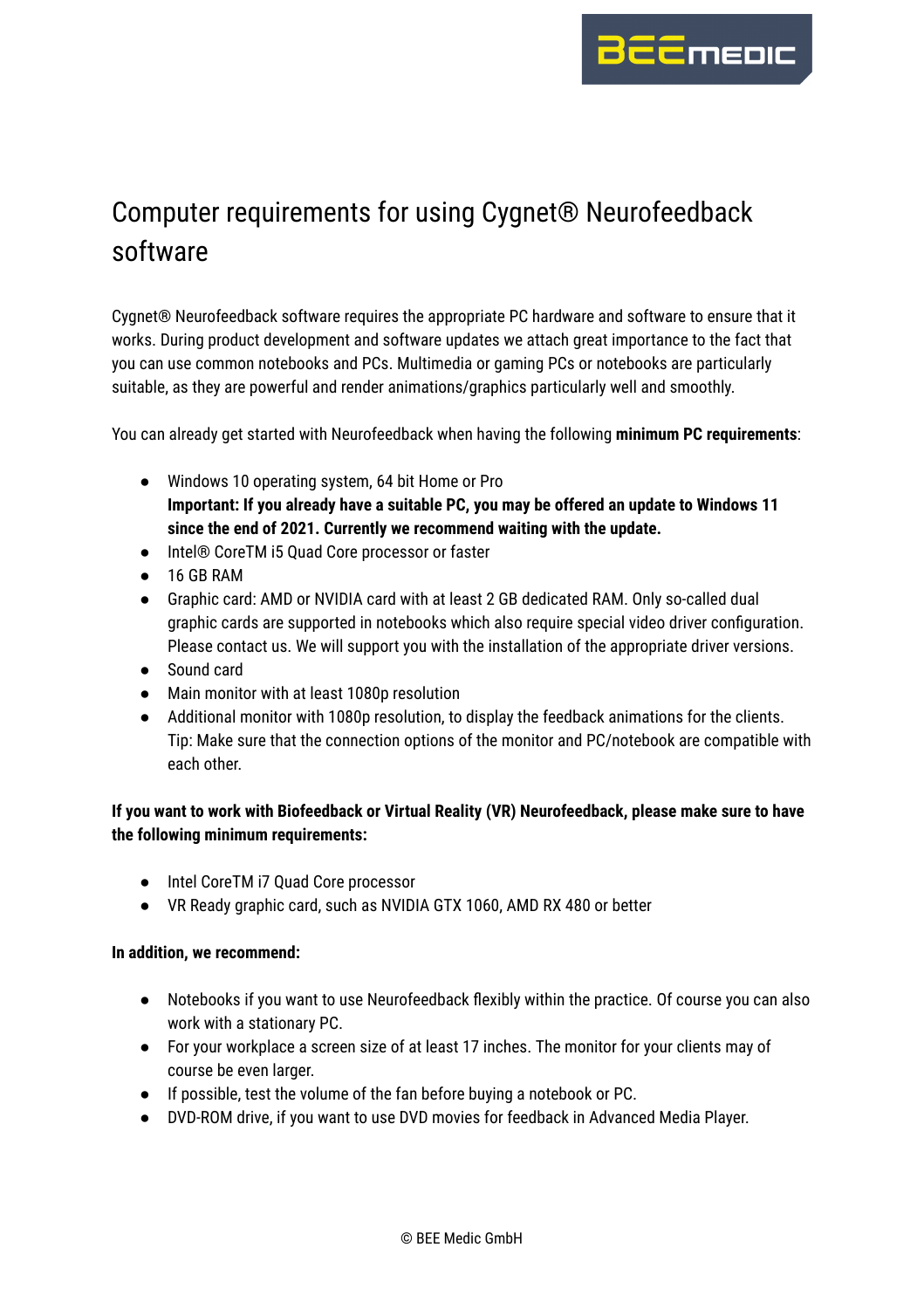

## Computer requirements for using Cygnet® Neurofeedback software

Cygnet® Neurofeedback software requires the appropriate PC hardware and software to ensure that it works. During product development and software updates we attach great importance to the fact that you can use common notebooks and PCs. Multimedia or gaming PCs or notebooks are particularly suitable, as they are powerful and render animations/graphics particularly well and smoothly.

You can already get started with Neurofeedback when having the following **minimum PC requirements**:

- Windows 10 operating system, 64 bit Home or Pro **Important: If you already have a suitable PC, you may be offered an update to Windows 11 since the end of 2021. Currently we recommend waiting with the update.**
- Intel® CoreTM i5 Quad Core processor or faster
- 16 GB RAM
- Graphic card: AMD or NVIDIA card with at least 2 GB dedicated RAM. Only so-called dual graphic cards are supported in notebooks which also require special video driver configuration. Please contact us. We will support you with the installation of the appropriate driver versions.
- Sound card
- Main monitor with at least 1080p resolution
- Additional monitor with 1080p resolution, to display the feedback animations for the clients. Tip: Make sure that the connection options of the monitor and PC/notebook are compatible with each other.

**If you want to work with Biofeedback or Virtual Reality (VR) Neurofeedback, please make sure to have the following minimum requirements:**

- Intel CoreTM i7 Quad Core processor
- VR Ready graphic card, such as NVIDIA GTX 1060, AMD RX 480 or better

## **In addition, we recommend:**

- Notebooks if you want to use Neurofeedback flexibly within the practice. Of course you can also work with a stationary PC.
- For your workplace a screen size of at least 17 inches. The monitor for your clients may of course be even larger.
- If possible, test the volume of the fan before buying a notebook or PC.
- DVD-ROM drive, if you want to use DVD movies for feedback in Advanced Media Player.